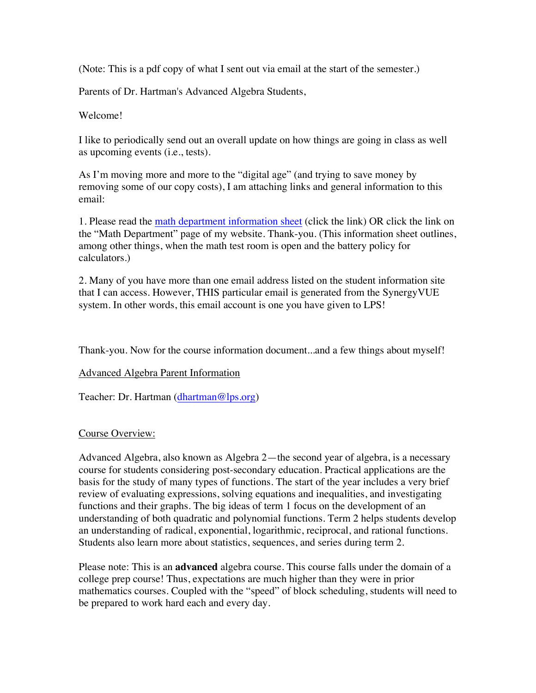(Note: This is a pdf copy of what I sent out via email at the start of the semester.)

Parents of Dr. Hartman's Advanced Algebra Students,

Welcome!

I like to periodically send out an overall update on how things are going in class as well as upcoming events (i.e., tests).

As I'm moving more and more to the "digital age" (and trying to save money by removing some of our copy costs), I am attaching links and general information to this email:

1. Please read the math department information sheet (click the link) OR click the link on the "Math Department" page of my website. Thank-you. (This information sheet outlines, among other things, when the math test room is open and the battery policy for calculators.)

2. Many of you have more than one email address listed on the student information site that I can access. However, THIS particular email is generated from the SynergyVUE system. In other words, this email account is one you have given to LPS!

Thank-you. Now for the course information document...and a few things about myself!

## Advanced Algebra Parent Information

Teacher: Dr. Hartman (dhartman@lps.org)

## Course Overview:

Advanced Algebra, also known as Algebra 2—the second year of algebra, is a necessary course for students considering post-secondary education. Practical applications are the basis for the study of many types of functions. The start of the year includes a very brief review of evaluating expressions, solving equations and inequalities, and investigating functions and their graphs. The big ideas of term 1 focus on the development of an understanding of both quadratic and polynomial functions. Term 2 helps students develop an understanding of radical, exponential, logarithmic, reciprocal, and rational functions. Students also learn more about statistics, sequences, and series during term 2.

Please note: This is an **advanced** algebra course. This course falls under the domain of a college prep course! Thus, expectations are much higher than they were in prior mathematics courses. Coupled with the "speed" of block scheduling, students will need to be prepared to work hard each and every day.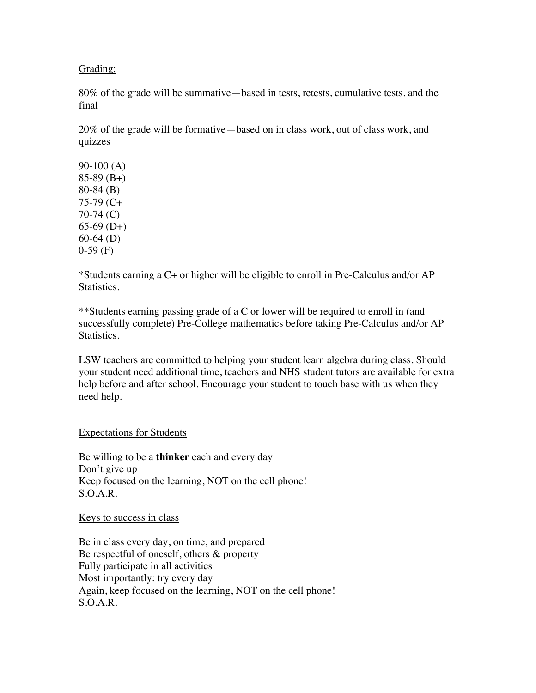Grading:

80% of the grade will be summative—based in tests, retests, cumulative tests, and the final

20% of the grade will be formative—based on in class work, out of class work, and quizzes

90-100 (A) 85-89 (B+) 80-84 (B) 75-79 (C+ 70-74 (C)  $65-69$  (D+) 60-64 (D) 0-59 (F)

\*Students earning a C+ or higher will be eligible to enroll in Pre-Calculus and/or AP Statistics.

\*\*Students earning passing grade of a C or lower will be required to enroll in (and successfully complete) Pre-College mathematics before taking Pre-Calculus and/or AP Statistics.

LSW teachers are committed to helping your student learn algebra during class. Should your student need additional time, teachers and NHS student tutors are available for extra help before and after school. Encourage your student to touch base with us when they need help.

Expectations for Students

Be willing to be a **thinker** each and every day Don't give up Keep focused on the learning, NOT on the cell phone! S.O.A.R.

Keys to success in class

Be in class every day, on time, and prepared Be respectful of oneself, others & property Fully participate in all activities Most importantly: try every day Again, keep focused on the learning, NOT on the cell phone! S.O.A.R.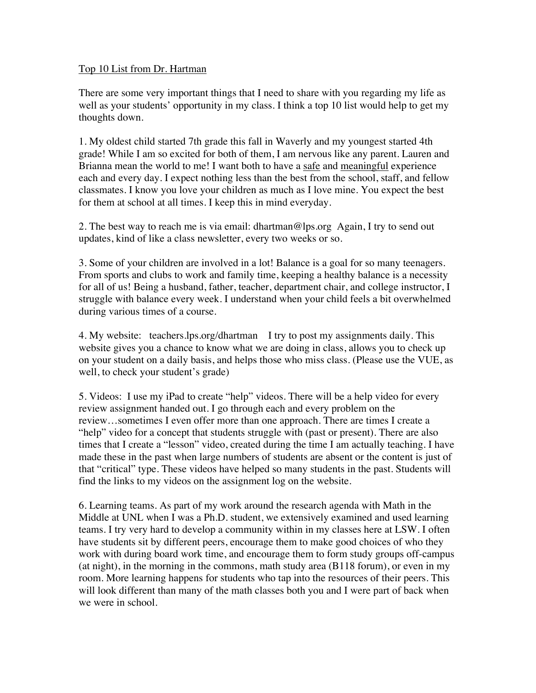## Top 10 List from Dr. Hartman

There are some very important things that I need to share with you regarding my life as well as your students' opportunity in my class. I think a top 10 list would help to get my thoughts down.

1. My oldest child started 7th grade this fall in Waverly and my youngest started 4th grade! While I am so excited for both of them, I am nervous like any parent. Lauren and Brianna mean the world to me! I want both to have a safe and meaningful experience each and every day. I expect nothing less than the best from the school, staff, and fellow classmates. I know you love your children as much as I love mine. You expect the best for them at school at all times. I keep this in mind everyday.

2. The best way to reach me is via email: dhartman@lps.org Again, I try to send out updates, kind of like a class newsletter, every two weeks or so.

3. Some of your children are involved in a lot! Balance is a goal for so many teenagers. From sports and clubs to work and family time, keeping a healthy balance is a necessity for all of us! Being a husband, father, teacher, department chair, and college instructor, I struggle with balance every week. I understand when your child feels a bit overwhelmed during various times of a course.

4. My website: teachers.lps.org/dhartman I try to post my assignments daily. This website gives you a chance to know what we are doing in class, allows you to check up on your student on a daily basis, and helps those who miss class. (Please use the VUE, as well, to check your student's grade)

5. Videos: I use my iPad to create "help" videos. There will be a help video for every review assignment handed out. I go through each and every problem on the review…sometimes I even offer more than one approach. There are times I create a "help" video for a concept that students struggle with (past or present). There are also times that I create a "lesson" video, created during the time I am actually teaching. I have made these in the past when large numbers of students are absent or the content is just of that "critical" type. These videos have helped so many students in the past. Students will find the links to my videos on the assignment log on the website.

6. Learning teams. As part of my work around the research agenda with Math in the Middle at UNL when I was a Ph.D. student, we extensively examined and used learning teams. I try very hard to develop a community within in my classes here at LSW. I often have students sit by different peers, encourage them to make good choices of who they work with during board work time, and encourage them to form study groups off-campus (at night), in the morning in the commons, math study area (B118 forum), or even in my room. More learning happens for students who tap into the resources of their peers. This will look different than many of the math classes both you and I were part of back when we were in school.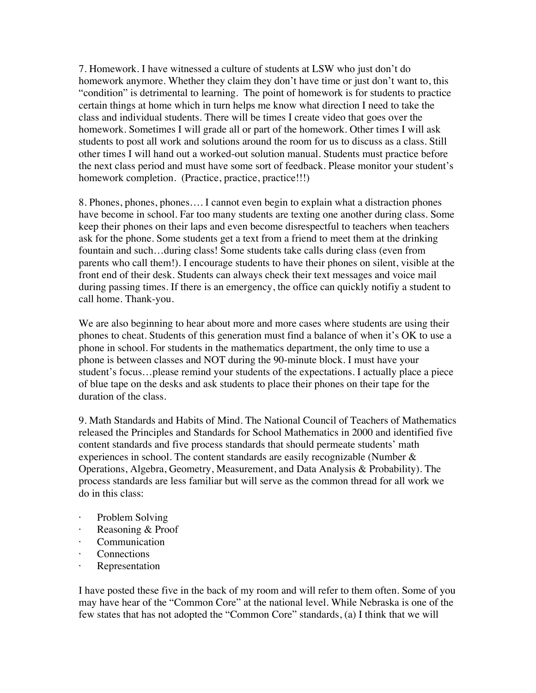7. Homework. I have witnessed a culture of students at LSW who just don't do homework anymore. Whether they claim they don't have time or just don't want to, this "condition" is detrimental to learning. The point of homework is for students to practice certain things at home which in turn helps me know what direction I need to take the class and individual students. There will be times I create video that goes over the homework. Sometimes I will grade all or part of the homework. Other times I will ask students to post all work and solutions around the room for us to discuss as a class. Still other times I will hand out a worked-out solution manual. Students must practice before the next class period and must have some sort of feedback. Please monitor your student's homework completion. (Practice, practice, practice!!!)

8. Phones, phones, phones…. I cannot even begin to explain what a distraction phones have become in school. Far too many students are texting one another during class. Some keep their phones on their laps and even become disrespectful to teachers when teachers ask for the phone. Some students get a text from a friend to meet them at the drinking fountain and such…during class! Some students take calls during class (even from parents who call them!). I encourage students to have their phones on silent, visible at the front end of their desk. Students can always check their text messages and voice mail during passing times. If there is an emergency, the office can quickly notifiy a student to call home. Thank-you.

We are also beginning to hear about more and more cases where students are using their phones to cheat. Students of this generation must find a balance of when it's OK to use a phone in school. For students in the mathematics department, the only time to use a phone is between classes and NOT during the 90-minute block. I must have your student's focus…please remind your students of the expectations. I actually place a piece of blue tape on the desks and ask students to place their phones on their tape for the duration of the class.

9. Math Standards and Habits of Mind. The National Council of Teachers of Mathematics released the Principles and Standards for School Mathematics in 2000 and identified five content standards and five process standards that should permeate students' math experiences in school. The content standards are easily recognizable (Number & Operations, Algebra, Geometry, Measurement, and Data Analysis & Probability). The process standards are less familiar but will serve as the common thread for all work we do in this class:

- Problem Solving
- · Reasoning & Proof
- · Communication
- **Connections**
- · Representation

I have posted these five in the back of my room and will refer to them often. Some of you may have hear of the "Common Core" at the national level. While Nebraska is one of the few states that has not adopted the "Common Core" standards, (a) I think that we will